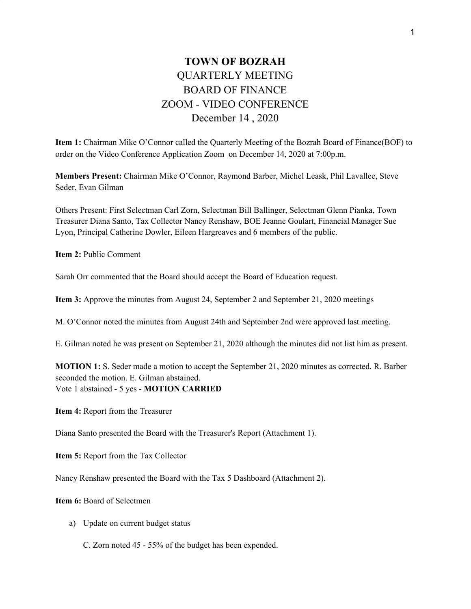## **TOWN OF BOZRAH** QUARTERLY MEETING BOARD OF FINANCE ZOOM - VIDEO CONFERENCE December 14 , 2020

**Item 1:** Chairman Mike O'Connor called the Quarterly Meeting of the Bozrah Board of Finance(BOF) to order on the Video Conference Application Zoom on December 14, 2020 at 7:00p.m.

**Members Present:** Chairman Mike O'Connor, Raymond Barber, Michel Leask, Phil Lavallee, Steve Seder, Evan Gilman

Others Present: First Selectman Carl Zorn, Selectman Bill Ballinger, Selectman Glenn Pianka, Town Treasurer Diana Santo, Tax Collector Nancy Renshaw, BOE Jeanne Goulart, Financial Manager Sue Lyon, Principal Catherine Dowler, Eileen Hargreaves and 6 members of the public.

**Item 2:** Public Comment

Sarah Orr commented that the Board should accept the Board of Education request.

**Item 3:** Approve the minutes from August 24, September 2 and September 21, 2020 meetings

M. O'Connor noted the minutes from August 24th and September 2nd were approved last meeting.

E. Gilman noted he was present on September 21, 2020 although the minutes did not list him as present.

**MOTION 1:** S. Seder made a motion to accept the September 21, 2020 minutes as corrected. R. Barber seconded the motion. E. Gilman abstained. Vote 1 abstained - 5 yes - **MOTION CARRIED**

**Item 4:** Report from the Treasurer

Diana Santo presented the Board with the Treasurer's Report (Attachment 1).

**Item 5:** Report from the Tax Collector

Nancy Renshaw presented the Board with the Tax 5 Dashboard (Attachment 2).

## **Item 6:** Board of Selectmen

a) Update on current budget status

C. Zorn noted 45 - 55% of the budget has been expended.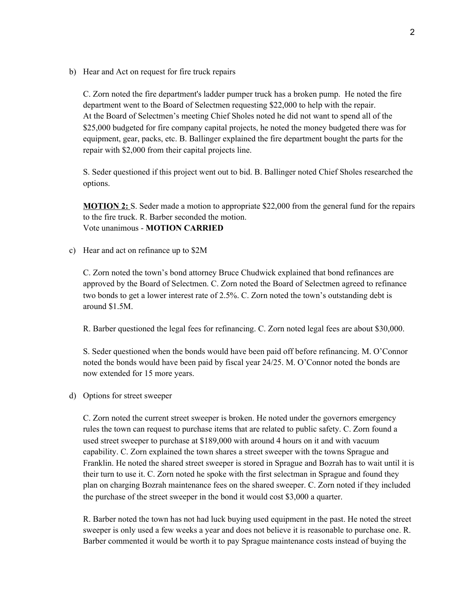b) Hear and Act on request for fire truck repairs

C. Zorn noted the fire department's ladder pumper truck has a broken pump. He noted the fire department went to the Board of Selectmen requesting \$22,000 to help with the repair. At the Board of Selectmen's meeting Chief Sholes noted he did not want to spend all of the \$25,000 budgeted for fire company capital projects, he noted the money budgeted there was for equipment, gear, packs, etc. B. Ballinger explained the fire department bought the parts for the repair with \$2,000 from their capital projects line.

S. Seder questioned if this project went out to bid. B. Ballinger noted Chief Sholes researched the options.

**MOTION 2:** S. Seder made a motion to appropriate \$22,000 from the general fund for the repairs to the fire truck. R. Barber seconded the motion. Vote unanimous - **MOTION CARRIED**

c) Hear and act on refinance up to \$2M

C. Zorn noted the town's bond attorney Bruce Chudwick explained that bond refinances are approved by the Board of Selectmen. C. Zorn noted the Board of Selectmen agreed to refinance two bonds to get a lower interest rate of 2.5%. C. Zorn noted the town's outstanding debt is around \$1.5M.

R. Barber questioned the legal fees for refinancing. C. Zorn noted legal fees are about \$30,000.

S. Seder questioned when the bonds would have been paid off before refinancing. M. O'Connor noted the bonds would have been paid by fiscal year 24/25. M. O'Connor noted the bonds are now extended for 15 more years.

d) Options for street sweeper

C. Zorn noted the current street sweeper is broken. He noted under the governors emergency rules the town can request to purchase items that are related to public safety. C. Zorn found a used street sweeper to purchase at \$189,000 with around 4 hours on it and with vacuum capability. C. Zorn explained the town shares a street sweeper with the towns Sprague and Franklin. He noted the shared street sweeper is stored in Sprague and Bozrah has to wait until it is their turn to use it. C. Zorn noted he spoke with the first selectman in Sprague and found they plan on charging Bozrah maintenance fees on the shared sweeper. C. Zorn noted if they included the purchase of the street sweeper in the bond it would cost \$3,000 a quarter.

R. Barber noted the town has not had luck buying used equipment in the past. He noted the street sweeper is only used a few weeks a year and does not believe it is reasonable to purchase one. R. Barber commented it would be worth it to pay Sprague maintenance costs instead of buying the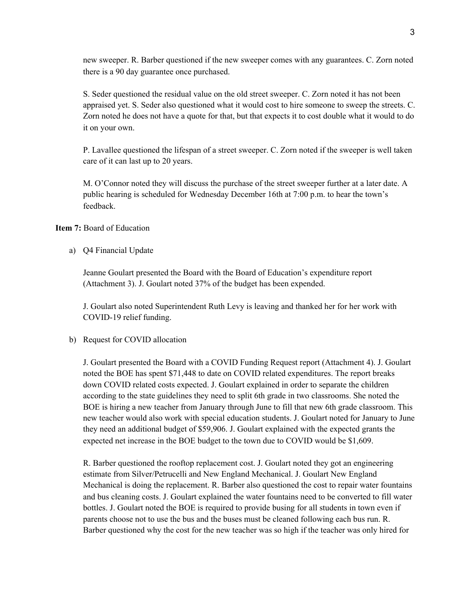new sweeper. R. Barber questioned if the new sweeper comes with any guarantees. C. Zorn noted there is a 90 day guarantee once purchased.

S. Seder questioned the residual value on the old street sweeper. C. Zorn noted it has not been appraised yet. S. Seder also questioned what it would cost to hire someone to sweep the streets. C. Zorn noted he does not have a quote for that, but that expects it to cost double what it would to do it on your own.

P. Lavallee questioned the lifespan of a street sweeper. C. Zorn noted if the sweeper is well taken care of it can last up to 20 years.

M. O'Connor noted they will discuss the purchase of the street sweeper further at a later date. A public hearing is scheduled for Wednesday December 16th at 7:00 p.m. to hear the town's feedback.

## **Item 7:** Board of Education

a) Q4 Financial Update

Jeanne Goulart presented the Board with the Board of Education's expenditure report (Attachment 3). J. Goulart noted 37% of the budget has been expended.

J. Goulart also noted Superintendent Ruth Levy is leaving and thanked her for her work with COVID-19 relief funding.

b) Request for COVID allocation

J. Goulart presented the Board with a COVID Funding Request report (Attachment 4). J. Goulart noted the BOE has spent \$71,448 to date on COVID related expenditures. The report breaks down COVID related costs expected. J. Goulart explained in order to separate the children according to the state guidelines they need to split 6th grade in two classrooms. She noted the BOE is hiring a new teacher from January through June to fill that new 6th grade classroom. This new teacher would also work with special education students. J. Goulart noted for January to June they need an additional budget of \$59,906. J. Goulart explained with the expected grants the expected net increase in the BOE budget to the town due to COVID would be \$1,609.

R. Barber questioned the rooftop replacement cost. J. Goulart noted they got an engineering estimate from Silver/Petrucelli and New England Mechanical. J. Goulart New England Mechanical is doing the replacement. R. Barber also questioned the cost to repair water fountains and bus cleaning costs. J. Goulart explained the water fountains need to be converted to fill water bottles. J. Goulart noted the BOE is required to provide busing for all students in town even if parents choose not to use the bus and the buses must be cleaned following each bus run. R. Barber questioned why the cost for the new teacher was so high if the teacher was only hired for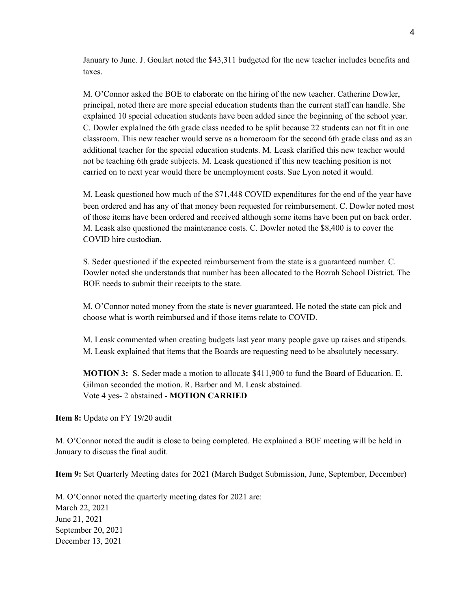January to June. J. Goulart noted the \$43,311 budgeted for the new teacher includes benefits and taxes.

M. O'Connor asked the BOE to elaborate on the hiring of the new teacher. Catherine Dowler, principal, noted there are more special education students than the current staff can handle. She explained 10 special education students have been added since the beginning of the school year. C. Dowler explaIned the 6th grade class needed to be split because 22 students can not fit in one classroom. This new teacher would serve as a homeroom for the second 6th grade class and as an additional teacher for the special education students. M. Leask clarified this new teacher would not be teaching 6th grade subjects. M. Leask questioned if this new teaching position is not carried on to next year would there be unemployment costs. Sue Lyon noted it would.

M. Leask questioned how much of the \$71,448 COVID expenditures for the end of the year have been ordered and has any of that money been requested for reimbursement. C. Dowler noted most of those items have been ordered and received although some items have been put on back order. M. Leask also questioned the maintenance costs. C. Dowler noted the \$8,400 is to cover the COVID hire custodian.

S. Seder questioned if the expected reimbursement from the state is a guaranteed number. C. Dowler noted she understands that number has been allocated to the Bozrah School District. The BOE needs to submit their receipts to the state.

M. O'Connor noted money from the state is never guaranteed. He noted the state can pick and choose what is worth reimbursed and if those items relate to COVID.

M. Leask commented when creating budgets last year many people gave up raises and stipends. M. Leask explained that items that the Boards are requesting need to be absolutely necessary.

**MOTION 3:** S. Seder made a motion to allocate \$411,900 to fund the Board of Education. E. Gilman seconded the motion. R. Barber and M. Leask abstained. Vote 4 yes- 2 abstained - **MOTION CARRIED**

**Item 8:** Update on FY 19/20 audit

M. O'Connor noted the audit is close to being completed. He explained a BOF meeting will be held in January to discuss the final audit.

**Item 9:** Set Quarterly Meeting dates for 2021 (March Budget Submission, June, September, December)

M. O'Connor noted the quarterly meeting dates for 2021 are: March 22, 2021 June 21, 2021 September 20, 2021 December 13, 2021